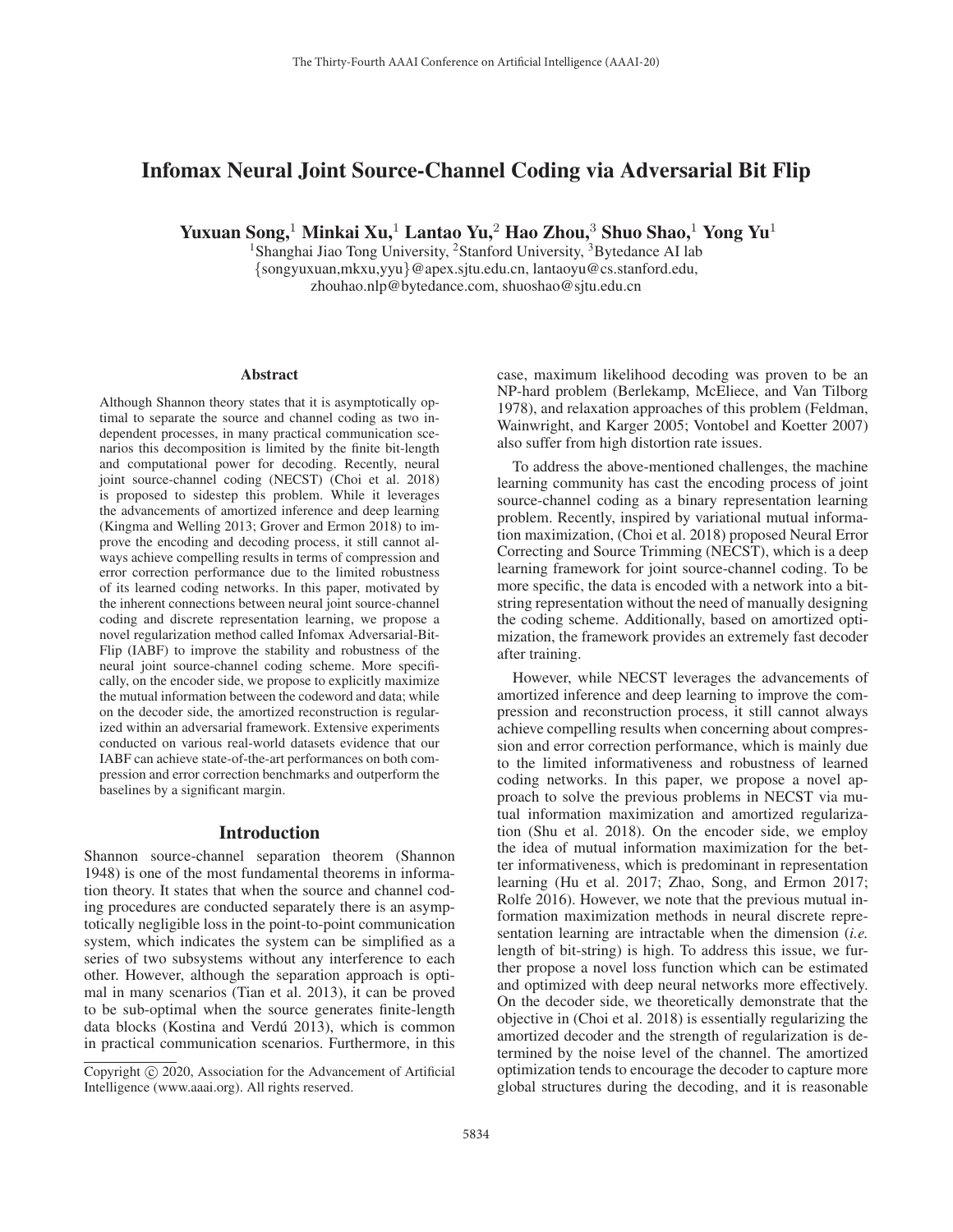# Infomax Neural Joint Source-Channel Coding via Adversarial Bit Flip

Yuxuan Song,<sup>1</sup> Minkai Xu,<sup>1</sup> Lantao Yu,<sup>2</sup> Hao Zhou,<sup>3</sup> Shuo Shao,<sup>1</sup> Yong Yu<sup>1</sup>

<sup>1</sup>Shanghai Jiao Tong University, <sup>2</sup>Stanford University, <sup>3</sup>Bytedance AI lab {songyuxuan,mkxu,yyu}@apex.sjtu.edu.cn, lantaoyu@cs.stanford.edu, zhouhao.nlp@bytedance.com, shuoshao@sjtu.edu.cn

#### **Abstract**

Although Shannon theory states that it is asymptotically optimal to separate the source and channel coding as two independent processes, in many practical communication scenarios this decomposition is limited by the finite bit-length and computational power for decoding. Recently, neural joint source-channel coding (NECST) (Choi et al. 2018) is proposed to sidestep this problem. While it leverages the advancements of amortized inference and deep learning (Kingma and Welling 2013; Grover and Ermon 2018) to improve the encoding and decoding process, it still cannot always achieve compelling results in terms of compression and error correction performance due to the limited robustness of its learned coding networks. In this paper, motivated by the inherent connections between neural joint source-channel coding and discrete representation learning, we propose a novel regularization method called Infomax Adversarial-Bit-Flip (IABF) to improve the stability and robustness of the neural joint source-channel coding scheme. More specifically, on the encoder side, we propose to explicitly maximize the mutual information between the codeword and data; while on the decoder side, the amortized reconstruction is regularized within an adversarial framework. Extensive experiments conducted on various real-world datasets evidence that our IABF can achieve state-of-the-art performances on both compression and error correction benchmarks and outperform the baselines by a significant margin.

#### Introduction

Shannon source-channel separation theorem (Shannon 1948) is one of the most fundamental theorems in information theory. It states that when the source and channel coding procedures are conducted separately there is an asymptotically negligible loss in the point-to-point communication system, which indicates the system can be simplified as a series of two subsystems without any interference to each other. However, although the separation approach is optimal in many scenarios (Tian et al. 2013), it can be proved to be sub-optimal when the source generates finite-length data blocks (Kostina and Verdú 2013), which is common in practical communication scenarios. Furthermore, in this case, maximum likelihood decoding was proven to be an NP-hard problem (Berlekamp, McEliece, and Van Tilborg 1978), and relaxation approaches of this problem (Feldman, Wainwright, and Karger 2005; Vontobel and Koetter 2007) also suffer from high distortion rate issues.

To address the above-mentioned challenges, the machine learning community has cast the encoding process of joint source-channel coding as a binary representation learning problem. Recently, inspired by variational mutual information maximization, (Choi et al. 2018) proposed Neural Error Correcting and Source Trimming (NECST), which is a deep learning framework for joint source-channel coding. To be more specific, the data is encoded with a network into a bitstring representation without the need of manually designing the coding scheme. Additionally, based on amortized optimization, the framework provides an extremely fast decoder after training.

However, while NECST leverages the advancements of amortized inference and deep learning to improve the compression and reconstruction process, it still cannot always achieve compelling results when concerning about compression and error correction performance, which is mainly due to the limited informativeness and robustness of learned coding networks. In this paper, we propose a novel approach to solve the previous problems in NECST via mutual information maximization and amortized regularization (Shu et al. 2018). On the encoder side, we employ the idea of mutual information maximization for the better informativeness, which is predominant in representation learning (Hu et al. 2017; Zhao, Song, and Ermon 2017; Rolfe 2016). However, we note that the previous mutual information maximization methods in neural discrete representation learning are intractable when the dimension (*i.e.* length of bit-string) is high. To address this issue, we further propose a novel loss function which can be estimated and optimized with deep neural networks more effectively. On the decoder side, we theoretically demonstrate that the objective in (Choi et al. 2018) is essentially regularizing the amortized decoder and the strength of regularization is determined by the noise level of the channel. The amortized optimization tends to encourage the decoder to capture more global structures during the decoding, and it is reasonable

Copyright  $\odot$  2020, Association for the Advancement of Artificial Intelligence (www.aaai.org). All rights reserved.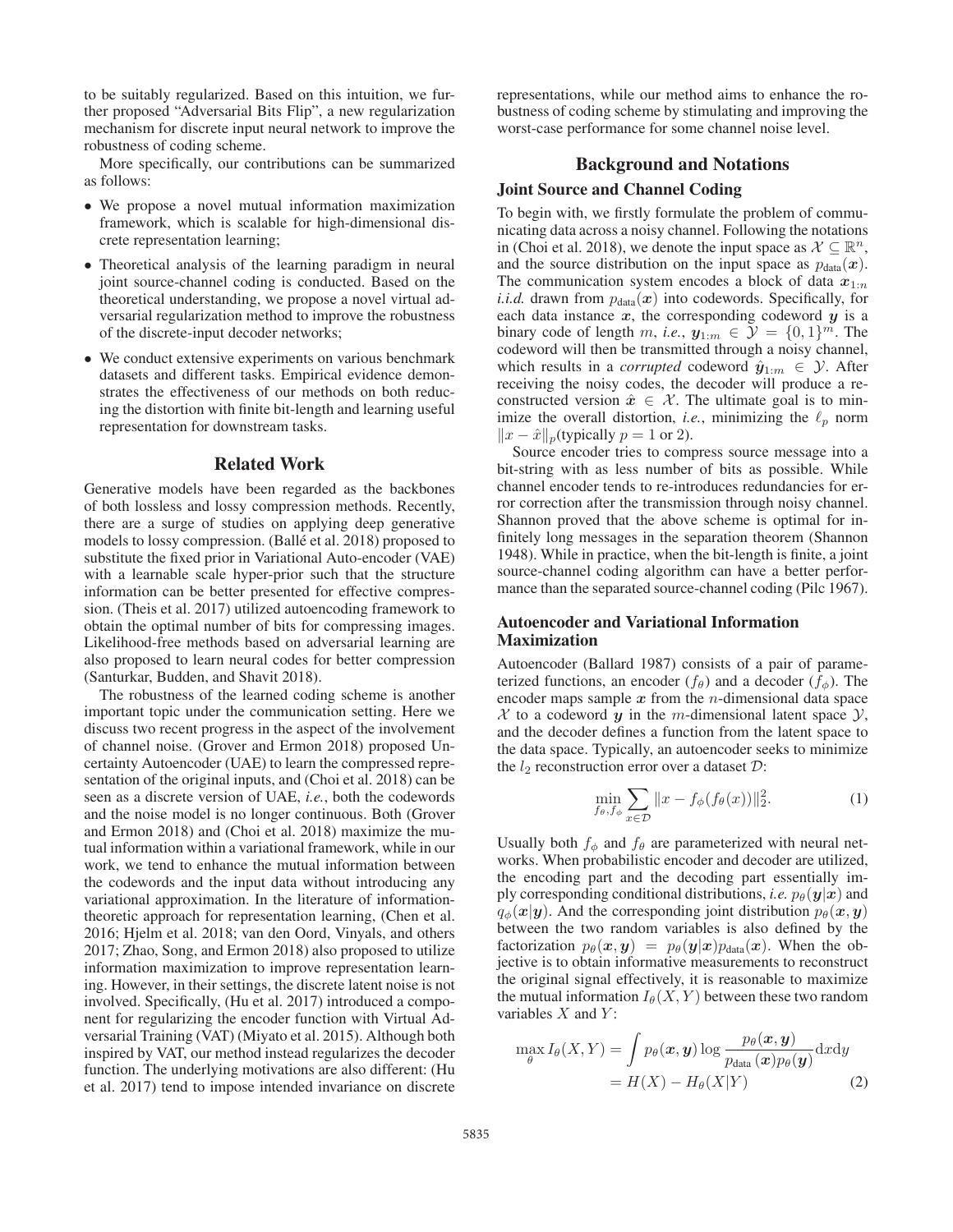to be suitably regularized. Based on this intuition, we further proposed "Adversarial Bits Flip", a new regularization mechanism for discrete input neural network to improve the robustness of coding scheme.

More specifically, our contributions can be summarized as follows:

- We propose a novel mutual information maximization framework, which is scalable for high-dimensional discrete representation learning;
- Theoretical analysis of the learning paradigm in neural joint source-channel coding is conducted. Based on the theoretical understanding, we propose a novel virtual adversarial regularization method to improve the robustness of the discrete-input decoder networks;
- We conduct extensive experiments on various benchmark datasets and different tasks. Empirical evidence demonstrates the effectiveness of our methods on both reducing the distortion with finite bit-length and learning useful representation for downstream tasks.

#### Related Work

Generative models have been regarded as the backbones of both lossless and lossy compression methods. Recently, there are a surge of studies on applying deep generative models to lossy compression. (Ballé et al. 2018) proposed to substitute the fixed prior in Variational Auto-encoder (VAE) with a learnable scale hyper-prior such that the structure information can be better presented for effective compression. (Theis et al. 2017) utilized autoencoding framework to obtain the optimal number of bits for compressing images. Likelihood-free methods based on adversarial learning are also proposed to learn neural codes for better compression (Santurkar, Budden, and Shavit 2018).

The robustness of the learned coding scheme is another important topic under the communication setting. Here we discuss two recent progress in the aspect of the involvement of channel noise. (Grover and Ermon 2018) proposed Uncertainty Autoencoder (UAE) to learn the compressed representation of the original inputs, and (Choi et al. 2018) can be seen as a discrete version of UAE, *i.e.*, both the codewords and the noise model is no longer continuous. Both (Grover and Ermon 2018) and (Choi et al. 2018) maximize the mutual information within a variational framework, while in our work, we tend to enhance the mutual information between the codewords and the input data without introducing any variational approximation. In the literature of informationtheoretic approach for representation learning, (Chen et al. 2016; Hjelm et al. 2018; van den Oord, Vinyals, and others 2017; Zhao, Song, and Ermon 2018) also proposed to utilize information maximization to improve representation learning. However, in their settings, the discrete latent noise is not involved. Specifically, (Hu et al. 2017) introduced a component for regularizing the encoder function with Virtual Adversarial Training (VAT) (Miyato et al. 2015). Although both inspired by VAT, our method instead regularizes the decoder function. The underlying motivations are also different: (Hu et al. 2017) tend to impose intended invariance on discrete

representations, while our method aims to enhance the robustness of coding scheme by stimulating and improving the worst-case performance for some channel noise level.

### Background and Notations

# Joint Source and Channel Coding

To begin with, we firstly formulate the problem of communicating data across a noisy channel. Following the notations in (Choi et al. 2018), we denote the input space as  $X \subseteq \mathbb{R}^n$ , and the source distribution on the input space as  $p_{data}(x)$ . The communication system encodes a block of data  $x_{1:n}$ *i.i.d.* drawn from  $p_{data}(x)$  into codewords. Specifically, for each data instance  $x$ , the corresponding codeword  $y$  is a binary code of length m, *i.e.*,  $y_{1:m} \in \mathcal{Y} = \{0, 1\}^m$ . The codeword will then be transmitted through a noisy channel, which results in a *corrupted* codeword  $\hat{y}_{1:m} \in \mathcal{Y}$ . After receiving the noisy codes, the decoder will produce a reconstructed version  $\hat{x} \in \mathcal{X}$ . The ultimate goal is to minimize the overall distortion, *i.e.*, minimizing the  $\ell_p$  norm  $||x - \hat{x}||_p$ (typically  $p = 1$  or 2).

Source encoder tries to compress source message into a bit-string with as less number of bits as possible. While channel encoder tends to re-introduces redundancies for error correction after the transmission through noisy channel. Shannon proved that the above scheme is optimal for infinitely long messages in the separation theorem (Shannon 1948). While in practice, when the bit-length is finite, a joint source-channel coding algorithm can have a better performance than the separated source-channel coding (Pilc 1967).

### Autoencoder and Variational Information Maximization

Autoencoder (Ballard 1987) consists of a pair of parameterized functions, an encoder  $(f_{\theta})$  and a decoder  $(f_{\phi})$ . The encoder maps sample  $x$  from the *n*-dimensional data space  $X$  to a codeword  $y$  in the m-dimensional latent space  $Y$ , and the decoder defines a function from the latent space to the data space. Typically, an autoencoder seeks to minimize the  $l_2$  reconstruction error over a dataset  $\mathcal{D}$ :

$$
\min_{f_{\theta}, f_{\phi}} \sum_{x \in \mathcal{D}} \|x - f_{\phi}(f_{\theta}(x))\|_2^2.
$$
 (1)

Usually both  $f_{\phi}$  and  $f_{\theta}$  are parameterized with neural networks. When probabilistic encoder and decoder are utilized, the encoding part and the decoding part essentially imply corresponding conditional distributions, *i.e.*  $p_{\theta}(\mathbf{y}|\mathbf{x})$  and  $q_{\phi}(\mathbf{x}|\mathbf{y})$ . And the corresponding joint distribution  $p_{\theta}(\mathbf{x}, \mathbf{y})$ between the two random variables is also defined by the factorization  $p_{\theta}(x, y) = p_{\theta}(y|x)p_{data}(x)$ . When the objective is to obtain informative measurements to reconstruct the original signal effectively, it is reasonable to maximize the mutual information  $I_{\theta}(X, Y)$  between these two random variables  $X$  and  $Y$ :

$$
\max_{\theta} I_{\theta}(X, Y) = \int p_{\theta}(\boldsymbol{x}, \boldsymbol{y}) \log \frac{p_{\theta}(\boldsymbol{x}, \boldsymbol{y})}{p_{\text{data}}(\boldsymbol{x}) p_{\theta}(\boldsymbol{y})} dxdy
$$

$$
= H(X) - H_{\theta}(X|Y) \tag{2}
$$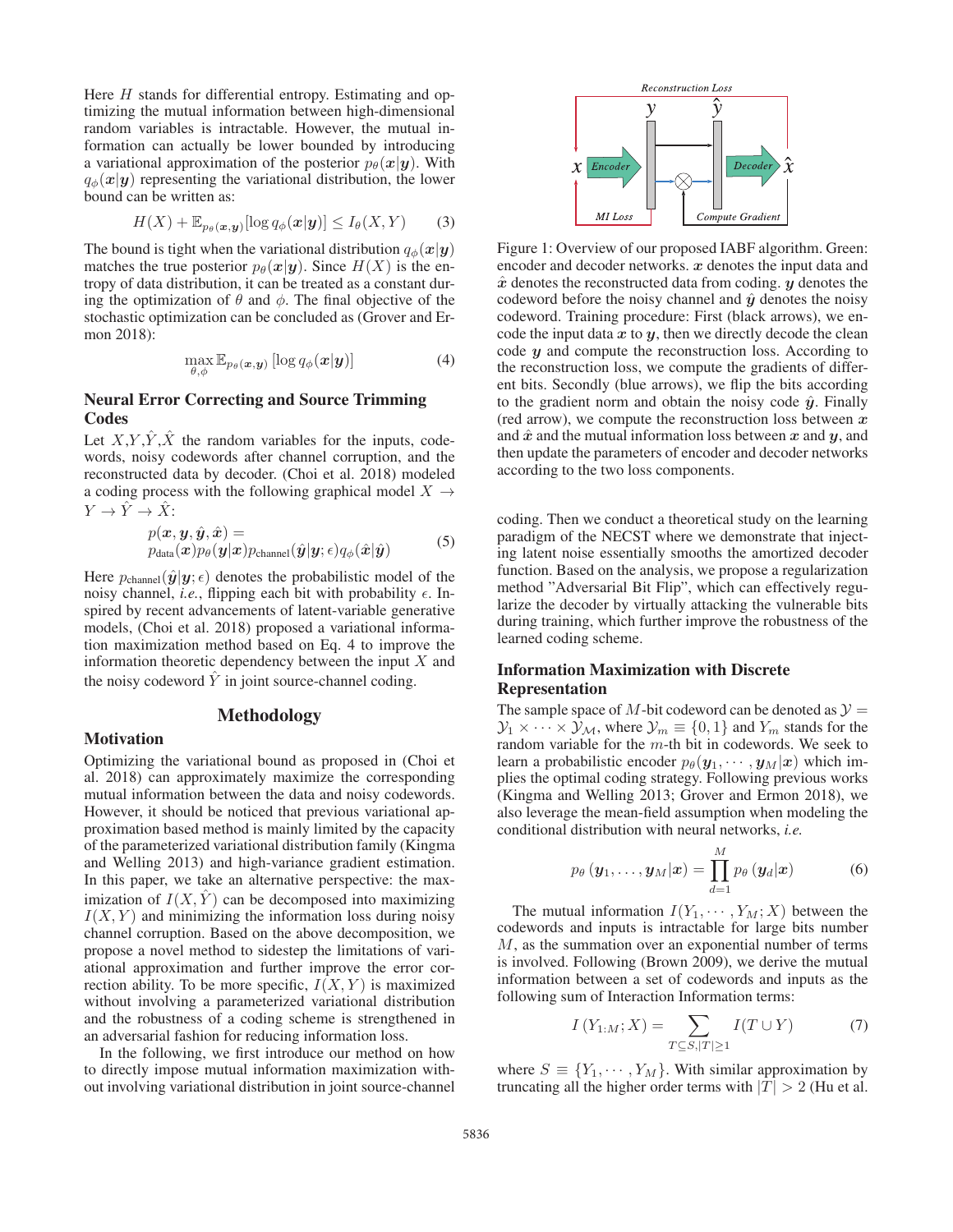Here  $H$  stands for differential entropy. Estimating and optimizing the mutual information between high-dimensional random variables is intractable. However, the mutual information can actually be lower bounded by introducing a variational approximation of the posterior  $p_{\theta}(\mathbf{x}|\mathbf{y})$ . With  $q_{\phi}(\mathbf{x}|\mathbf{y})$  representing the variational distribution, the lower bound can be written as:

$$
H(X) + \mathbb{E}_{p_{\theta}(\boldsymbol{x}, \boldsymbol{y})}[\log q_{\phi}(\boldsymbol{x}|\boldsymbol{y})] \le I_{\theta}(X, Y) \qquad (3)
$$

The bound is tight when the variational distribution  $q_{\phi}(\mathbf{x}|\mathbf{y})$ matches the true posterior  $p_{\theta}(\mathbf{x}|\mathbf{y})$ . Since  $H(X)$  is the entropy of data distribution, it can be treated as a constant during the optimization of  $\theta$  and  $\phi$ . The final objective of the stochastic optimization can be concluded as (Grover and Ermon 2018):

$$
\max_{\theta,\phi} \mathbb{E}_{p_{\theta}(\boldsymbol{x},\boldsymbol{y})} [\log q_{\phi}(\boldsymbol{x}|\boldsymbol{y})] \tag{4}
$$

# Neural Error Correcting and Source Trimming **Codes**

Let  $X, Y, \hat{Y}, \hat{X}$  the random variables for the inputs, codewords, noisy codewords after channel corruption, and the reconstructed data by decoder. (Choi et al. 2018) modeled a coding process with the following graphical model  $X \rightarrow$  $Y \to \hat{Y} \to \hat{X}$ :

$$
p(\boldsymbol{x}, \boldsymbol{y}, \hat{\boldsymbol{y}}, \hat{\boldsymbol{x}}) = p_{\text{data}}(\boldsymbol{x}) p_{\theta}(\boldsymbol{y}|\boldsymbol{x}) p_{\text{channel}}(\hat{\boldsymbol{y}}|\boldsymbol{y}; \epsilon) q_{\phi}(\hat{\boldsymbol{x}}|\hat{\boldsymbol{y}})
$$
 (5)

Here  $p_{channel}(\hat{\mathbf{y}}|\mathbf{y}; \epsilon)$  denotes the probabilistic model of the noisy channel, *i.e.*, flipping each bit with probability  $\epsilon$ . Inspired by recent advancements of latent-variable generative models, (Choi et al. 2018) proposed a variational information maximization method based on Eq. 4 to improve the information theoretic dependency between the input  $X$  and the noisy codeword  $Y$  in joint source-channel coding.

# Methodology

### **Motivation**

Optimizing the variational bound as proposed in (Choi et al. 2018) can approximately maximize the corresponding mutual information between the data and noisy codewords. However, it should be noticed that previous variational approximation based method is mainly limited by the capacity of the parameterized variational distribution family (Kingma and Welling 2013) and high-variance gradient estimation. In this paper, we take an alternative perspective: the maximization of  $I(X, \hat{Y})$  can be decomposed into maximizing  $I(X, Y)$  and minimizing the information loss during noisy channel corruption. Based on the above decomposition, we propose a novel method to sidestep the limitations of variational approximation and further improve the error correction ability. To be more specific,  $I(X, Y)$  is maximized without involving a parameterized variational distribution and the robustness of a coding scheme is strengthened in an adversarial fashion for reducing information loss.

In the following, we first introduce our method on how to directly impose mutual information maximization without involving variational distribution in joint source-channel



Figure 1: Overview of our proposed IABF algorithm. Green: encoder and decoder networks. *x* denotes the input data and *x*ˆ denotes the reconstructed data from coding. *y* denotes the codeword before the noisy channel and  $\hat{y}$  denotes the noisy codeword. Training procedure: First (black arrows), we encode the input data  $x$  to  $y$ , then we directly decode the clean code *y* and compute the reconstruction loss. According to the reconstruction loss, we compute the gradients of different bits. Secondly (blue arrows), we flip the bits according to the gradient norm and obtain the noisy code  $\hat{y}$ . Finally (red arrow), we compute the reconstruction loss between *x* and  $\hat{x}$  and the mutual information loss between  $x$  and  $y$ , and then update the parameters of encoder and decoder networks according to the two loss components.

coding. Then we conduct a theoretical study on the learning paradigm of the NECST where we demonstrate that injecting latent noise essentially smooths the amortized decoder function. Based on the analysis, we propose a regularization method "Adversarial Bit Flip", which can effectively regularize the decoder by virtually attacking the vulnerable bits during training, which further improve the robustness of the learned coding scheme.

# Information Maximization with Discrete Representation

The sample space of M-bit codeword can be denoted as  $\mathcal{Y} =$  $\mathcal{Y}_1 \times \cdots \times \mathcal{Y}_M$ , where  $\mathcal{Y}_m \equiv \{0, 1\}$  and  $Y_m$  stands for the random variable for the m-th bit in codewords. We seek to learn a probabilistic encoder  $p_{\theta}(\mathbf{y}_1, \cdots, \mathbf{y}_M|\mathbf{x})$  which implies the optimal coding strategy. Following previous works (Kingma and Welling 2013; Grover and Ermon 2018), we also leverage the mean-field assumption when modeling the conditional distribution with neural networks, *i.e.*

$$
p_{\theta}(\mathbf{y}_1,\ldots,\mathbf{y}_M|\mathbf{x}) = \prod_{d=1}^M p_{\theta}(\mathbf{y}_d|\mathbf{x})
$$
 (6)

The mutual information  $I(Y_1, \dots, Y_M; X)$  between the codewords and inputs is intractable for large bits number M, as the summation over an exponential number of terms is involved. Following (Brown 2009), we derive the mutual information between a set of codewords and inputs as the following sum of Interaction Information terms:

$$
I(Y_{1:M}; X) = \sum_{T \subseteq S, |T| \ge 1} I(T \cup Y) \tag{7}
$$

where  $S \equiv \{Y_1, \dots, Y_M\}$ . With similar approximation by truncating all the higher order terms with  $|T| > 2$  (Hu et al.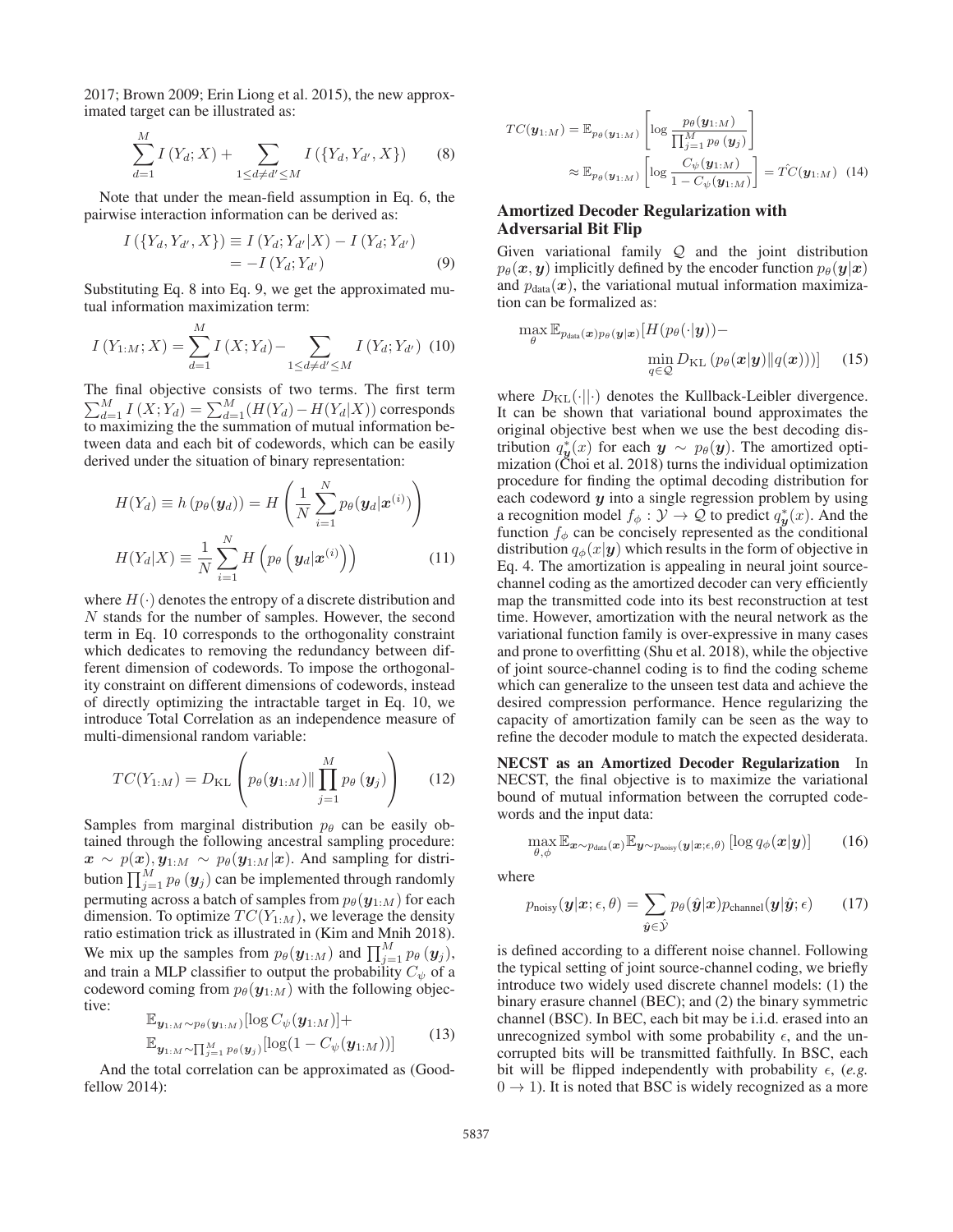2017; Brown 2009; Erin Liong et al. 2015), the new approximated target can be illustrated as:

$$
\sum_{d=1}^{M} I(Y_d; X) + \sum_{1 \le d \ne d' \le M} I(\{Y_d, Y_{d'}, X\})
$$
(8)

Note that under the mean-field assumption in Eq. 6, the pairwise interaction information can be derived as:

$$
I(\{Y_d, Y_{d'}, X\}) \equiv I(Y_d; Y_{d'}|X) - I(Y_d; Y_{d'})
$$
  
= -I(Y\_d; Y\_{d'}) (9)

Substituting Eq. 8 into Eq. 9, we get the approximated mutual information maximization term:

$$
I(Y_{1:M};X) = \sum_{d=1}^{M} I(X;Y_d) - \sum_{1 \le d \ne d' \le M} I(Y_d;Y_{d'}) \tag{10}
$$

The final objective consists of two terms. The first term  $\sum_{d=1}^{M} I(X; Y_d) = \sum_{d=1}^{M} (H(Y_d) - H(Y_d|X))$  corresponds to maximizing the the summation of mutual information between data and each bit of codewords, which can be easily derived under the situation of binary representation:

$$
H(Y_d) \equiv h(p_{\theta}(\mathbf{y}_d)) = H\left(\frac{1}{N} \sum_{i=1}^{N} p_{\theta}(\mathbf{y}_d | \mathbf{x}^{(i)})\right)
$$

$$
H(Y_d | X) \equiv \frac{1}{N} \sum_{i=1}^{N} H\left(p_{\theta}\left(\mathbf{y}_d | \mathbf{x}^{(i)}\right)\right)
$$
(11)

where  $H(\cdot)$  denotes the entropy of a discrete distribution and N stands for the number of samples. However, the second term in Eq. 10 corresponds to the orthogonality constraint which dedicates to removing the redundancy between different dimension of codewords. To impose the orthogonality constraint on different dimensions of codewords, instead of directly optimizing the intractable target in Eq. 10, we introduce Total Correlation as an independence measure of multi-dimensional random variable:

$$
TC(Y_{1:M}) = D_{\text{KL}}\left(p_{\theta}(\boldsymbol{y}_{1:M}) \|\prod_{j=1}^{M} p_{\theta}(\boldsymbol{y}_{j})\right)
$$
(12)

Samples from marginal distribution  $p_\theta$  can be easily obtained through the following ancestral sampling procedure:  $\mathbf{x} \sim p(\mathbf{x}), \mathbf{y}_{1:M} \sim p_{\theta}(\mathbf{y}_{1:M}|\mathbf{x})$ . And sampling for distribution  $\prod_{j=1}^{M} p_{\theta}(y_j)$  can be implemented through randomly permuting across a batch of samples from  $p_{\theta}(\mathbf{y}_{1:M})$  for each dimension. To optimize  $TC(Y_{1:M})$ , we leverage the density ratio estimation trick as illustrated in (Kim and Mnih 2018). We mix up the samples from  $p_{\theta}(\mathbf{y}_{1:M})$  and  $\prod_{j=1}^{M} p_{\theta}(\mathbf{y}_{j})$ , and train a MLP classifier to output the probability  $C_{\psi}$  of a codeword coming from  $p_{\theta}(\mathbf{y}_{1:M})$  with the following objective:

$$
\mathbb{E}_{\boldsymbol{y}_{1:M} \sim p_{\theta}(\boldsymbol{y}_{1:M})}[\log C_{\psi}(\boldsymbol{y}_{1:M})] + \mathbb{E}_{\boldsymbol{y}_{1:M} \sim \prod_{j=1}^{M} p_{\theta}(\boldsymbol{y}_{j})}[\log(1 - C_{\psi}(\boldsymbol{y}_{1:M}))]
$$
(13)

And the total correlation can be approximated as (Goodfellow 2014):

$$
TC(\boldsymbol{y}_{1:M}) = \mathbb{E}_{p_{\theta}(\boldsymbol{y}_{1:M})} \left[ \log \frac{p_{\theta}(\boldsymbol{y}_{1:M})}{\prod_{j=1}^{M} p_{\theta}(\boldsymbol{y}_{j})} \right]
$$

$$
\approx \mathbb{E}_{p_{\theta}(\boldsymbol{y}_{1:M})} \left[ \log \frac{C_{\psi}(\boldsymbol{y}_{1:M})}{1 - C_{\psi}(\boldsymbol{y}_{1:M})} \right] = \hat{TC}(\boldsymbol{y}_{1:M}) \quad (14)
$$

# Amortized Decoder Regularization with Adversarial Bit Flip

Given variational family  $Q$  and the joint distribution  $p_{\theta}(\boldsymbol{x}, \boldsymbol{y})$  implicitly defined by the encoder function  $p_{\theta}(\boldsymbol{y}|\boldsymbol{x})$ and  $p_{data}(x)$ , the variational mutual information maximization can be formalized as:

$$
\max_{\theta} \mathbb{E}_{p_{data}(\boldsymbol{x})p_{\theta}(\boldsymbol{y}|\boldsymbol{x})} [H(p_{\theta}(\cdot|\boldsymbol{y})) - \min_{q \in \mathcal{Q}} D_{\mathrm{KL}}(p_{\theta}(\boldsymbol{x}|\boldsymbol{y}) || q(\boldsymbol{x})))] \quad (15)
$$

where  $D_{\text{KL}}(\cdot||\cdot)$  denotes the Kullback-Leibler divergence. It can be shown that variational bound approximates the original objective best when we use the best decoding distribution  $q_{\boldsymbol{y}}^*(x)$  for each  $\boldsymbol{y} \sim p_{\theta}(\boldsymbol{y})$ . The amortized optimization (Choi et al. 2018) turns the individual optimization procedure for finding the optimal decoding distribution for each codeword *y* into a single regression problem by using a recognition model  $f_{\phi}: \mathcal{Y} \to \mathcal{Q}$  to predict  $q_{\bm{y}}^{*}(x)$ . And the function  $f_{\phi}$  can be concisely represented as the conditional distribution  $q_{\phi}(x|\mathbf{y})$  which results in the form of objective in Eq. 4. The amortization is appealing in neural joint sourcechannel coding as the amortized decoder can very efficiently map the transmitted code into its best reconstruction at test time. However, amortization with the neural network as the variational function family is over-expressive in many cases and prone to overfitting (Shu et al. 2018), while the objective of joint source-channel coding is to find the coding scheme which can generalize to the unseen test data and achieve the desired compression performance. Hence regularizing the capacity of amortization family can be seen as the way to refine the decoder module to match the expected desiderata.

NECST as an Amortized Decoder Regularization In NECST, the final objective is to maximize the variational bound of mutual information between the corrupted codewords and the input data:

$$
\max_{\theta,\phi} \mathbb{E}_{\boldsymbol{x} \sim p_{\text{data}}(\boldsymbol{x})} \mathbb{E}_{\boldsymbol{y} \sim p_{\text{noisy}}(\boldsymbol{y}|\boldsymbol{x};\epsilon,\theta)} \left[ \log q_{\phi}(\boldsymbol{x}|\boldsymbol{y}) \right]
$$
(16)

where

$$
p_{\text{noisy}}(\mathbf{y}|\mathbf{x}; \epsilon, \theta) = \sum_{\hat{\mathbf{y}} \in \hat{\mathcal{Y}}} p_{\theta}(\hat{\mathbf{y}}|\mathbf{x}) p_{\text{channel}}(\mathbf{y}|\hat{\mathbf{y}}; \epsilon)
$$
(17)

is defined according to a different noise channel. Following the typical setting of joint source-channel coding, we briefly introduce two widely used discrete channel models: (1) the binary erasure channel (BEC); and (2) the binary symmetric channel (BSC). In BEC, each bit may be i.i.d. erased into an unrecognized symbol with some probability  $\epsilon$ , and the uncorrupted bits will be transmitted faithfully. In BSC, each bit will be flipped independently with probability  $\epsilon$ , (e.g.  $0 \rightarrow 1$ ). It is noted that BSC is widely recognized as a more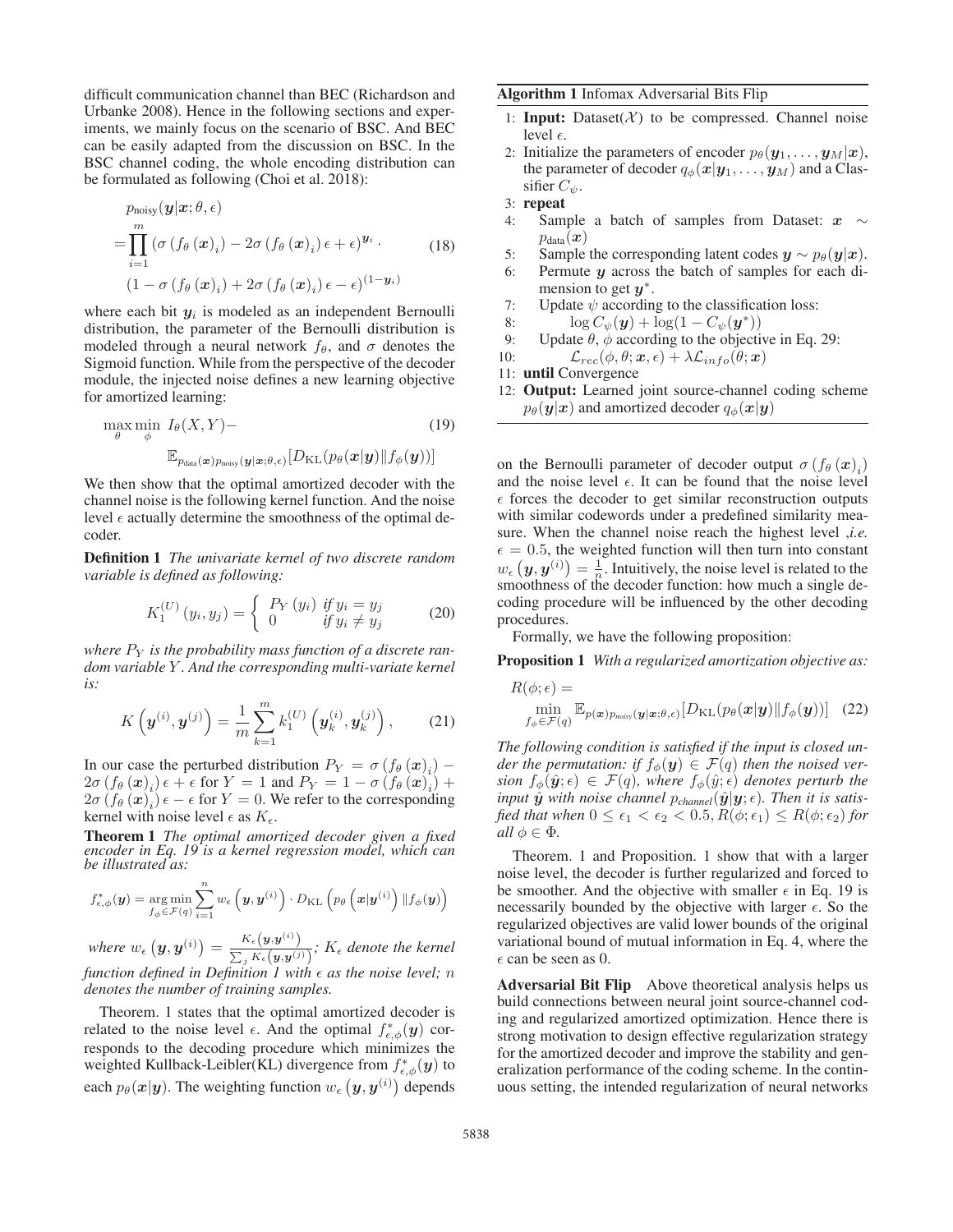difficult communication channel than BEC (Richardson and Urbanke 2008). Hence in the following sections and experiments, we mainly focus on the scenario of BSC. And BEC can be easily adapted from the discussion on BSC. In the BSC channel coding, the whole encoding distribution can be formulated as following (Choi et al. 2018):

$$
p_{\text{noisy}}(\mathbf{y}|\mathbf{x}; \theta, \epsilon)
$$
  
= 
$$
\prod_{i=1}^{m} (\sigma(f_{\theta}(\mathbf{x})_i) - 2\sigma(f_{\theta}(\mathbf{x})_i) \epsilon + \epsilon)^{\mathbf{y}_i}.
$$
 (18)  

$$
(1 - \sigma(f_{\theta}(\mathbf{x})_i) + 2\sigma(f_{\theta}(\mathbf{x})_i) \epsilon - \epsilon)^{(1 - \mathbf{y}_i)}
$$

where each bit  $y_i$  is modeled as an independent Bernoulli distribution, the parameter of the Bernoulli distribution is modeled through a neural network  $f_{\theta}$ , and  $\sigma$  denotes the Sigmoid function. While from the perspective of the decoder module, the injected noise defines a new learning objective for amortized learning:

$$
\max_{\theta} \min_{\phi} I_{\theta}(X, Y) - \sum_{\mathbb{E}_{p_{\text{data}}(\boldsymbol{x})p_{\text{noisy}}(\boldsymbol{y}|\boldsymbol{x};\theta,\epsilon)} [D_{\text{KL}}(p_{\theta}(\boldsymbol{x}|\boldsymbol{y}) \| f_{\phi}(\boldsymbol{y}))]
$$
(19)

We then show that the optimal amortized decoder with the channel noise is the following kernel function. And the noise level  $\epsilon$  actually determine the smoothness of the optimal decoder.

Definition 1 *The univariate kernel of two discrete random variable is defined as following:*

$$
K_1^{(U)}(y_i, y_j) = \begin{cases} P_Y(y_i) & \text{if } y_i = y_j \\ 0 & \text{if } y_i \neq y_j \end{cases} \tag{20}
$$

where  $P_Y$  is the probability mass function of a discrete ran*dom variable* Y *. And the corresponding multi-variate kernel is:*

$$
K\left(\boldsymbol{y}^{(i)}, \boldsymbol{y}^{(j)}\right) = \frac{1}{m} \sum_{k=1}^{m} k_1^{(U)}\left(\boldsymbol{y}_k^{(i)}, \boldsymbol{y}_k^{(j)}\right),\qquad(21)
$$

In our case the perturbed distribution  $P_Y = \sigma(f_\theta(\mathbf{x})_i)$  –  $2\sigma (f_{\theta}(\boldsymbol{x})_{i}) \epsilon + \epsilon$  for  $Y = 1$  and  $P_{Y} = 1 - \sigma (f_{\theta}(\boldsymbol{x})_{i}) +$  $2\sigma (f_{\theta}(\boldsymbol{x})_i)\epsilon - \epsilon$  for  $Y = 0$ . We refer to the corresponding kernel with noise level  $\epsilon$  as  $K_{\epsilon}$ .

Theorem 1 *The optimal amortized decoder given a fixed encoder in Eq. 19 is a kernel regression model, which can be illustrated as:*

$$
f_{\epsilon,\phi}^*(\boldsymbol{y}) = \argmin_{f_{\phi} \in \mathcal{F}(q)} \sum_{i=1}^n w_{\epsilon} \left( \boldsymbol{y}, \boldsymbol{y}^{(i)} \right) \cdot D_{\mathrm{KL}} \left( p_{\theta} \left( \boldsymbol{x} | \boldsymbol{y}^{(i)} \right) \| f_{\phi}(\boldsymbol{y}) \right)
$$

where  $w_{\epsilon} (y, y^{(i)}) = \frac{K_{\epsilon}(y, y^{(i)})}{\sum_{k} K_{\epsilon}(y, y^{(i)})}$  $\frac{K_{\epsilon}(\mathbf{y}, \mathbf{y})}{\sum_{j} K_{\epsilon}(\mathbf{y}, \mathbf{y}^{(j)})}$ ;  $K_{\epsilon}$  denote the kernel *function defined in Definition 1 with*  $\epsilon$  *as the noise level; n denotes the number of training samples.*

Theorem. 1 states that the optimal amortized decoder is related to the noise level  $\epsilon$ . And the optimal  $f_{\epsilon,\phi}^*(y)$  corresponds to the decoding procedure which minimizes the weighted Kullback-Leibler(KL) divergence from  $f_{\epsilon,\phi}^*(y)$  to each  $p_{\theta}(\boldsymbol{x}|\boldsymbol{y})$ . The weighting function  $w_{\epsilon}(\boldsymbol{y}, \boldsymbol{y}^{(i)})$  depends

### Algorithm 1 Infomax Adversarial Bits Flip

- 1: **Input:** Dataset( $X$ ) to be compressed. Channel noise level  $\epsilon$ .
- 2: Initialize the parameters of encoder  $p_{\theta}(\mathbf{y}_1, \dots, \mathbf{y}_M|\mathbf{x}),$ the parameter of decoder  $q_{\phi}(\boldsymbol{x}|\boldsymbol{y}_{1},\dots,\boldsymbol{y}_{M})$  and a Classifier  $C_{\psi}$ .
- 3: repeat
- 4: Sample a batch of samples from Dataset: *x* ∼  $p_{data}(\boldsymbol{x})$
- 5: Sample the corresponding latent codes  $y \sim p_{\theta}(y|x)$ .
- 6: Permute *y* across the batch of samples for each dimension to get *y*∗.
- 7: Update  $\psi$  according to the classification loss:
- 8:  $\log C_{\psi}(\mathbf{y}) + \log(1 C_{\psi}(\mathbf{y}^*))$
- 9: Update  $\theta$ ,  $\phi$  according to the objective in Eq. 29:
- 10:  $\mathcal{L}_{rec}(\phi, \theta; \boldsymbol{x}, \epsilon) + \lambda \mathcal{L}_{info}(\theta; \boldsymbol{x})$
- 11: until Convergence
- 12: Output: Learned joint source-channel coding scheme  $p_{\theta}(\mathbf{y}|\mathbf{x})$  and amortized decoder  $q_{\phi}(\mathbf{x}|\mathbf{y})$

on the Bernoulli parameter of decoder output  $\sigma(f_{\theta}(\boldsymbol{x})_i)$ and the noise level  $\epsilon$ . It can be found that the noise level  $\epsilon$  forces the decoder to get similar reconstruction outputs with similar codewords under a predefined similarity measure. When the channel noise reach the highest level ,*i.e.*  $\epsilon = 0.5$ , the weighted function will then turn into constant  $w_{\epsilon}(y, y^{(i)}) = \frac{1}{n}$ . Intuitively, the noise level is related to the smoothness of the decoder function: how much a single decoding procedure will be influenced by the other decoding procedures.

Formally, we have the following proposition:

Proposition 1 *With a regularized amortization objective as:*

$$
R(\phi; \epsilon) = \min_{f_{\phi} \in \mathcal{F}(q)} \mathbb{E}_{p(\boldsymbol{x})p_{\text{noisy}}(\boldsymbol{y}|\boldsymbol{x};\theta,\epsilon)} [D_{\text{KL}}(p_{\theta}(\boldsymbol{x}|\boldsymbol{y})||f_{\phi}(\boldsymbol{y}))]
$$
(22)

*The following condition is satisfied if the input is closed under the permutation: if*  $f_{\phi}(y) \in \mathcal{F}(q)$  *then the noised version*  $f_{\phi}(\hat{\mathbf{y}};\epsilon) \in \mathcal{F}(q)$ , where  $f_{\phi}(\hat{y};\epsilon)$  denotes perturb the *input*  $\hat{y}$  *with noise channel*  $p_{channel}(\hat{y}|\mathbf{y}; \epsilon)$ *. Then it is satisfied that when*  $0 \le \epsilon_1 < \epsilon_2 < 0.5$ ,  $R(\phi; \epsilon_1) \le R(\phi; \epsilon_2)$  *for all*  $\phi \in \Phi$ *.* 

Theorem. 1 and Proposition. 1 show that with a larger noise level, the decoder is further regularized and forced to be smoother. And the objective with smaller  $\epsilon$  in Eq. 19 is necessarily bounded by the objective with larger  $\epsilon$ . So the regularized objectives are valid lower bounds of the original variational bound of mutual information in Eq. 4, where the  $\epsilon$  can be seen as 0.

Adversarial Bit Flip Above theoretical analysis helps us build connections between neural joint source-channel coding and regularized amortized optimization. Hence there is strong motivation to design effective regularization strategy for the amortized decoder and improve the stability and generalization performance of the coding scheme. In the continuous setting, the intended regularization of neural networks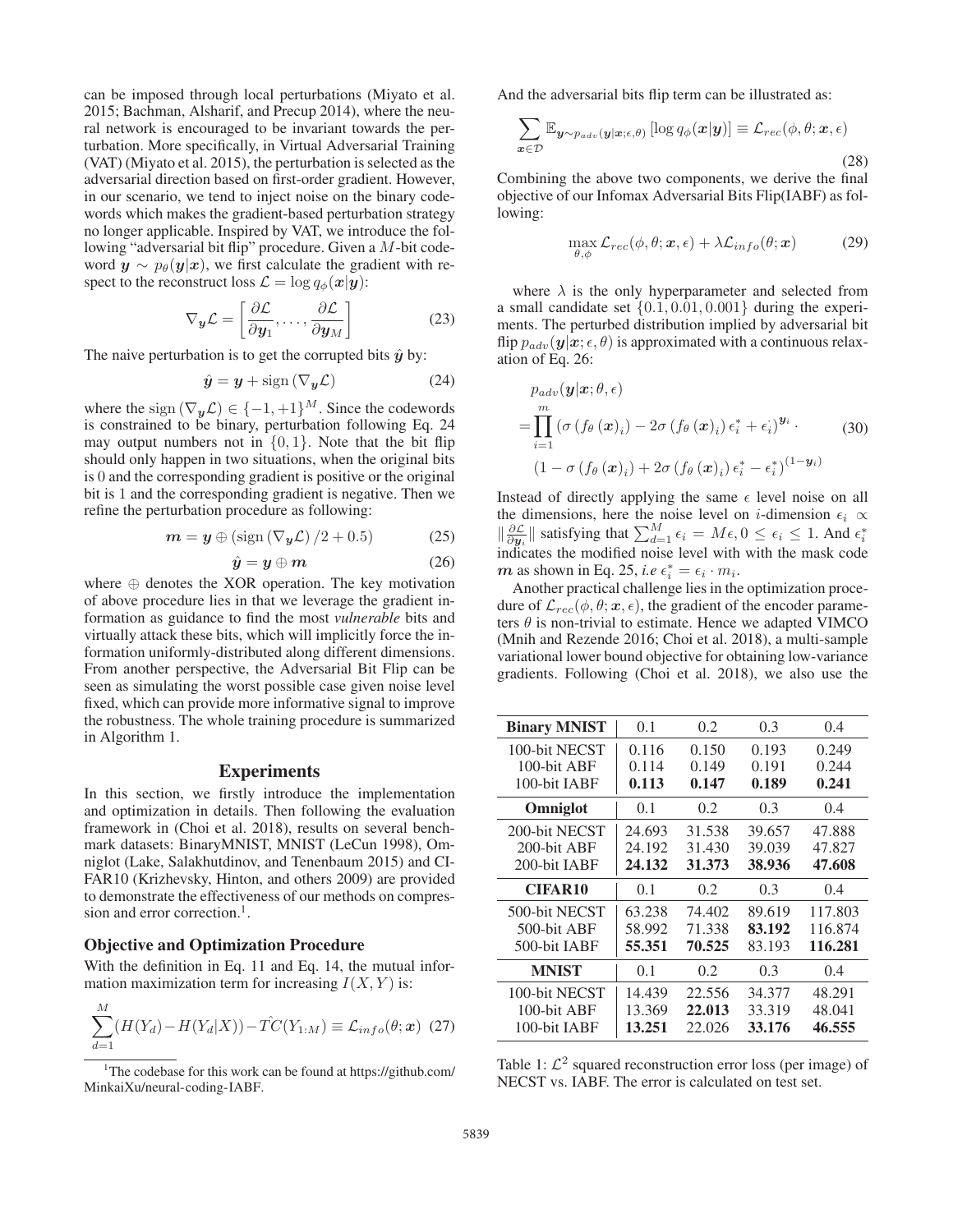can be imposed through local perturbations (Miyato et al. 2015; Bachman, Alsharif, and Precup 2014), where the neural network is encouraged to be invariant towards the perturbation. More specifically, in Virtual Adversarial Training (VAT) (Miyato et al. 2015), the perturbation is selected as the adversarial direction based on first-order gradient. However, in our scenario, we tend to inject noise on the binary codewords which makes the gradient-based perturbation strategy no longer applicable. Inspired by VAT, we introduce the following "adversarial bit flip" procedure. Given a M-bit codeword  $y \sim p_{\theta}(y|x)$ , we first calculate the gradient with respect to the reconstruct loss  $\mathcal{L} = \log q_{\phi}(\mathbf{x}|\mathbf{y})$ :

$$
\nabla_{\mathbf{y}} \mathcal{L} = \left[ \frac{\partial \mathcal{L}}{\partial \mathbf{y}_1}, \dots, \frac{\partial \mathcal{L}}{\partial \mathbf{y}_M} \right] \tag{23}
$$

The naive perturbation is to get the corrupted bits  $\hat{y}$  by:

$$
\hat{\mathbf{y}} = \mathbf{y} + \text{sign}\left(\nabla_{\mathbf{y}} \mathcal{L}\right) \tag{24}
$$

where the sign  $(\nabla_{\mathbf{y}}\mathcal{L}) \in \{-1, +1\}^M$ . Since the codewords is constrained to be binary, perturbation following Eq. 24 may output numbers not in  $\{0, 1\}$ . Note that the bit flip should only happen in two situations, when the original bits is 0 and the corresponding gradient is positive or the original bit is 1 and the corresponding gradient is negative. Then we refine the perturbation procedure as following:

$$
\mathbf{m} = \mathbf{y} \oplus (\text{sign}\left(\nabla_{\mathbf{y}} \mathcal{L}\right) / 2 + 0.5) \tag{25}
$$

$$
\hat{y} = y \oplus m \tag{26}
$$

where  $\oplus$  denotes the XOR operation. The key motivation of above procedure lies in that we leverage the gradient information as guidance to find the most *vulnerable* bits and virtually attack these bits, which will implicitly force the information uniformly-distributed along different dimensions. From another perspective, the Adversarial Bit Flip can be seen as simulating the worst possible case given noise level fixed, which can provide more informative signal to improve the robustness. The whole training procedure is summarized in Algorithm 1.

### **Experiments**

In this section, we firstly introduce the implementation and optimization in details. Then following the evaluation framework in (Choi et al. 2018), results on several benchmark datasets: BinaryMNIST, MNIST (LeCun 1998), Omniglot (Lake, Salakhutdinov, and Tenenbaum 2015) and CI-FAR10 (Krizhevsky, Hinton, and others 2009) are provided to demonstrate the effectiveness of our methods on compression and error correction.<sup>1</sup>.

#### Objective and Optimization Procedure

With the definition in Eq. 11 and Eq. 14, the mutual information maximization term for increasing  $I(X, Y)$  is:

$$
\sum_{d=1}^{M} (H(Y_d) - H(Y_d|X)) - \hat{T}C(Y_{1:M}) \equiv \mathcal{L}_{info}(\theta; \mathbf{x}) \tag{27}
$$

And the adversarial bits flip term can be illustrated as:

$$
\sum_{\boldsymbol{x}\in\mathcal{D}}\mathbb{E}_{\boldsymbol{y}\sim p_{adv}(\boldsymbol{y}|\boldsymbol{x};\epsilon,\theta)}\left[\log q_{\phi}(\boldsymbol{x}|\boldsymbol{y})\right] \equiv \mathcal{L}_{rec}(\phi,\theta;\boldsymbol{x},\epsilon)
$$
\n(28)

Combining the above two components, we derive the final objective of our Infomax Adversarial Bits Flip(IABF) as following:

$$
\max_{\theta,\phi} \mathcal{L}_{rec}(\phi,\theta;\boldsymbol{x},\epsilon) + \lambda \mathcal{L}_{info}(\theta;\boldsymbol{x}) \tag{29}
$$

where  $\lambda$  is the only hyperparameter and selected from a small candidate set  $\{0.1, 0.01, 0.001\}$  during the experiments. The perturbed distribution implied by adversarial bit flip  $p_{adv}(\mathbf{y}|\mathbf{x}; \epsilon, \theta)$  is approximated with a continuous relaxation of Eq. 26:

$$
p_{adv}(\mathbf{y}|\mathbf{x}; \theta, \epsilon)
$$
  
= 
$$
\prod_{i=1}^{m} (\sigma(f_{\theta}(\mathbf{x})_i) - 2\sigma(f_{\theta}(\mathbf{x})_i) \epsilon_i^* + \epsilon_i)^{\mathbf{y}_i}.
$$
 (30)  

$$
(1 - \sigma(f_{\theta}(\mathbf{x})_i) + 2\sigma(f_{\theta}(\mathbf{x})_i) \epsilon_i^* - \epsilon_i^*)^{(1 - \mathbf{y}_i)}
$$

Instead of directly applying the same  $\epsilon$  level noise on all the dimensions, here the noise level on *i*-dimension  $\epsilon_i \propto$  $\|\frac{\partial \mathcal{L}}{\partial y_i}\|$  satisfying that  $\sum_{d=1}^M \epsilon_i = M\epsilon, 0 \leq \epsilon_i \leq 1$ . And  $\epsilon_i^*$ indicates the modified noise level with with the mask code *m* as shown in Eq. 25, *i.e*  $\epsilon_i^* = \epsilon_i \cdot m_i$ .

Another practical challenge lies in the optimization procedure of  $\mathcal{L}_{rec}(\phi, \theta; \mathbf{x}, \epsilon)$ , the gradient of the encoder parameters  $\theta$  is non-trivial to estimate. Hence we adapted VIMCO (Mnih and Rezende 2016; Choi et al. 2018), a multi-sample variational lower bound objective for obtaining low-variance gradients. Following (Choi et al. 2018), we also use the

| <b>Binary MNIST</b> | 0.1    | 0.2    | 0.3    | 0.4     |
|---------------------|--------|--------|--------|---------|
| 100-bit NECST       | 0.116  | 0.150  | 0.193  | 0.249   |
| 100-bit ABF         | 0.114  | 0.149  | 0.191  | 0.244   |
| 100-bit IABF        | 0.113  | 0.147  | 0.189  | 0.241   |
| Omniglot            | 0.1    | 0.2    | 0.3    | 0.4     |
| 200-bit NECST       | 24.693 | 31.538 | 39.657 | 47.888  |
| 200-bit ABF         | 24.192 | 31.430 | 39.039 | 47.827  |
| 200-bit JABF        | 24.132 | 31.373 | 38.936 | 47.608  |
| <b>CIFAR10</b>      | 0.1    | 0.2    | 0.3    | 0.4     |
| 500-bit NECST       | 63.238 | 74.402 | 89.619 | 117.803 |
| 500-bit ABF         | 58.992 | 71.338 | 83.192 | 116.874 |
| 500-bit IABF        | 55.351 | 70.525 | 83.193 | 116.281 |
| <b>MNIST</b>        | 0.1    | 0.2    | 0.3    | 0.4     |
| 100-bit NECST       | 14.439 | 22.556 | 34.377 | 48.291  |
| 100-bit ABF         | 13.369 | 22,013 | 33.319 | 48.041  |
| 100-bit IABF        | 13.251 | 22.026 | 33.176 | 46.555  |

Table 1:  $\mathcal{L}^2$  squared reconstruction error loss (per image) of NECST vs. IABF. The error is calculated on test set.

<sup>&</sup>lt;sup>1</sup>The codebase for this work can be found at https://github.com/ MinkaiXu/neural-coding-IABF.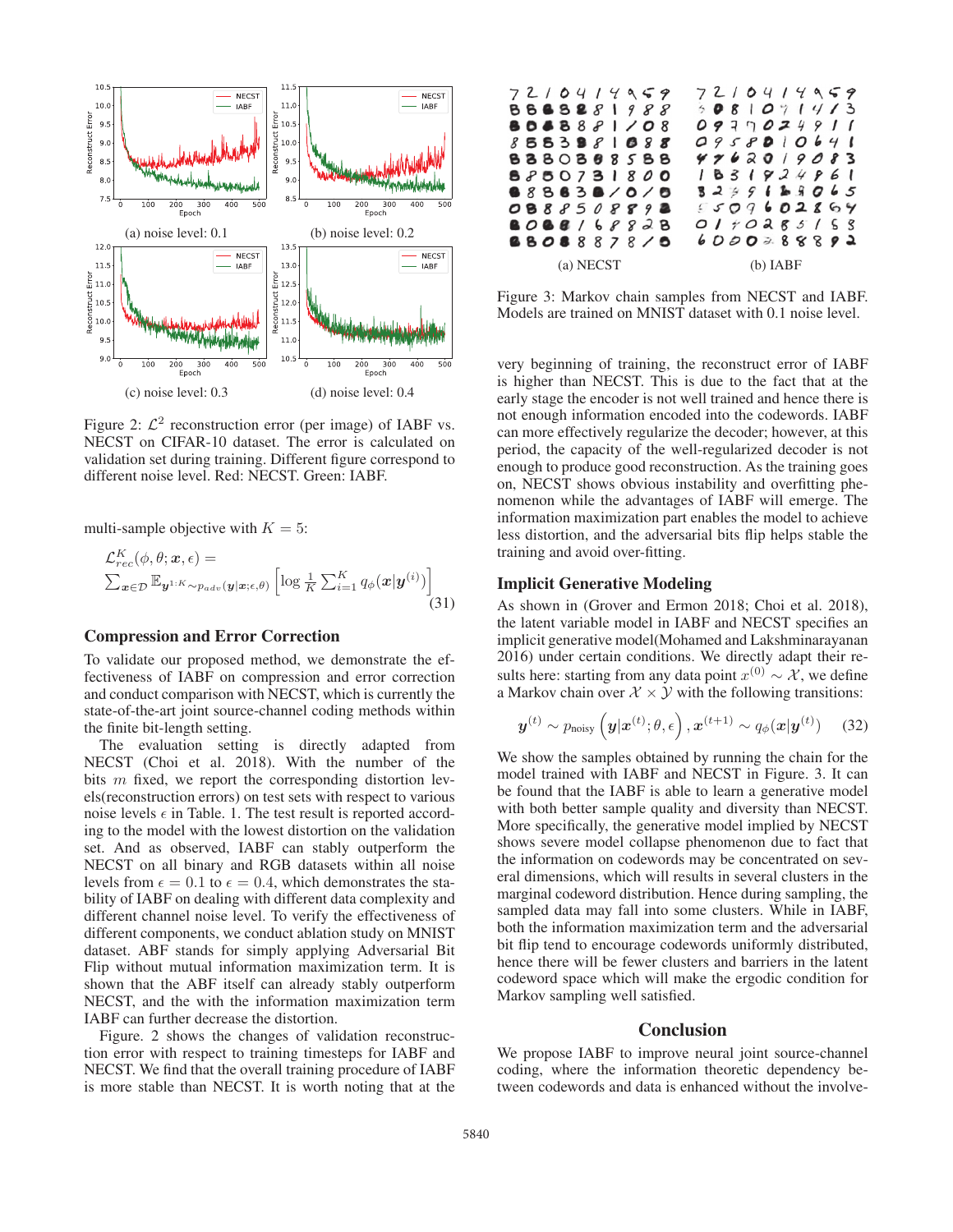

Figure 2:  $\mathcal{L}^2$  reconstruction error (per image) of IABF vs. NECST on CIFAR-10 dataset. The error is calculated on validation set during training. Different figure correspond to different noise level. Red: NECST. Green: IABF.

multi-sample objective with  $K = 5$ :

$$
\mathcal{L}_{rec}^{K}(\phi, \theta; \boldsymbol{x}, \epsilon) = \sum_{\boldsymbol{x} \in \mathcal{D}} \mathbb{E}_{\boldsymbol{y}^{1:K} \sim p_{adv}(\boldsymbol{y}|\boldsymbol{x}; \epsilon, \theta)} \left[ \log \frac{1}{K} \sum_{i=1}^{K} q_{\phi}(\boldsymbol{x}|\boldsymbol{y}^{(i)}) \right]
$$
\n(31)

#### Compression and Error Correction

To validate our proposed method, we demonstrate the effectiveness of IABF on compression and error correction and conduct comparison with NECST, which is currently the state-of-the-art joint source-channel coding methods within the finite bit-length setting.

The evaluation setting is directly adapted from NECST (Choi et al. 2018). With the number of the bits m fixed, we report the corresponding distortion levels(reconstruction errors) on test sets with respect to various noise levels  $\epsilon$  in Table. 1. The test result is reported according to the model with the lowest distortion on the validation set. And as observed, IABF can stably outperform the NECST on all binary and RGB datasets within all noise levels from  $\epsilon = 0.1$  to  $\epsilon = 0.4$ , which demonstrates the stability of IABF on dealing with different data complexity and different channel noise level. To verify the effectiveness of different components, we conduct ablation study on MNIST dataset. ABF stands for simply applying Adversarial Bit Flip without mutual information maximization term. It is shown that the ABF itself can already stably outperform NECST, and the with the information maximization term IABF can further decrease the distortion.

Figure. 2 shows the changes of validation reconstruction error with respect to training timesteps for IABF and NECST. We find that the overall training procedure of IABF is more stable than NECST. It is worth noting that at the



Figure 3: Markov chain samples from NECST and IABF. Models are trained on MNIST dataset with 0.1 noise level.

very beginning of training, the reconstruct error of IABF is higher than NECST. This is due to the fact that at the early stage the encoder is not well trained and hence there is not enough information encoded into the codewords. IABF can more effectively regularize the decoder; however, at this period, the capacity of the well-regularized decoder is not enough to produce good reconstruction. As the training goes on, NECST shows obvious instability and overfitting phenomenon while the advantages of IABF will emerge. The information maximization part enables the model to achieve less distortion, and the adversarial bits flip helps stable the training and avoid over-fitting.

# Implicit Generative Modeling

As shown in (Grover and Ermon 2018; Choi et al. 2018), the latent variable model in IABF and NECST specifies an implicit generative model(Mohamed and Lakshminarayanan 2016) under certain conditions. We directly adapt their results here: starting from any data point  $x^{(0)} \sim \mathcal{X}$ , we define a Markov chain over  $\mathcal{X} \times \mathcal{Y}$  with the following transitions:

$$
\boldsymbol{y}^{(t)} \sim p_{\text{noisy}}\left(\boldsymbol{y}|\boldsymbol{x}^{(t)};\theta,\epsilon\right), \boldsymbol{x}^{(t+1)} \sim q_{\phi}(\boldsymbol{x}|\boldsymbol{y}^{(t)}) \quad (32)
$$

We show the samples obtained by running the chain for the model trained with IABF and NECST in Figure. 3. It can be found that the IABF is able to learn a generative model with both better sample quality and diversity than NECST. More specifically, the generative model implied by NECST shows severe model collapse phenomenon due to fact that the information on codewords may be concentrated on several dimensions, which will results in several clusters in the marginal codeword distribution. Hence during sampling, the sampled data may fall into some clusters. While in IABF, both the information maximization term and the adversarial bit flip tend to encourage codewords uniformly distributed, hence there will be fewer clusters and barriers in the latent codeword space which will make the ergodic condition for Markov sampling well satisfied.

### Conclusion

We propose IABF to improve neural joint source-channel coding, where the information theoretic dependency between codewords and data is enhanced without the involve